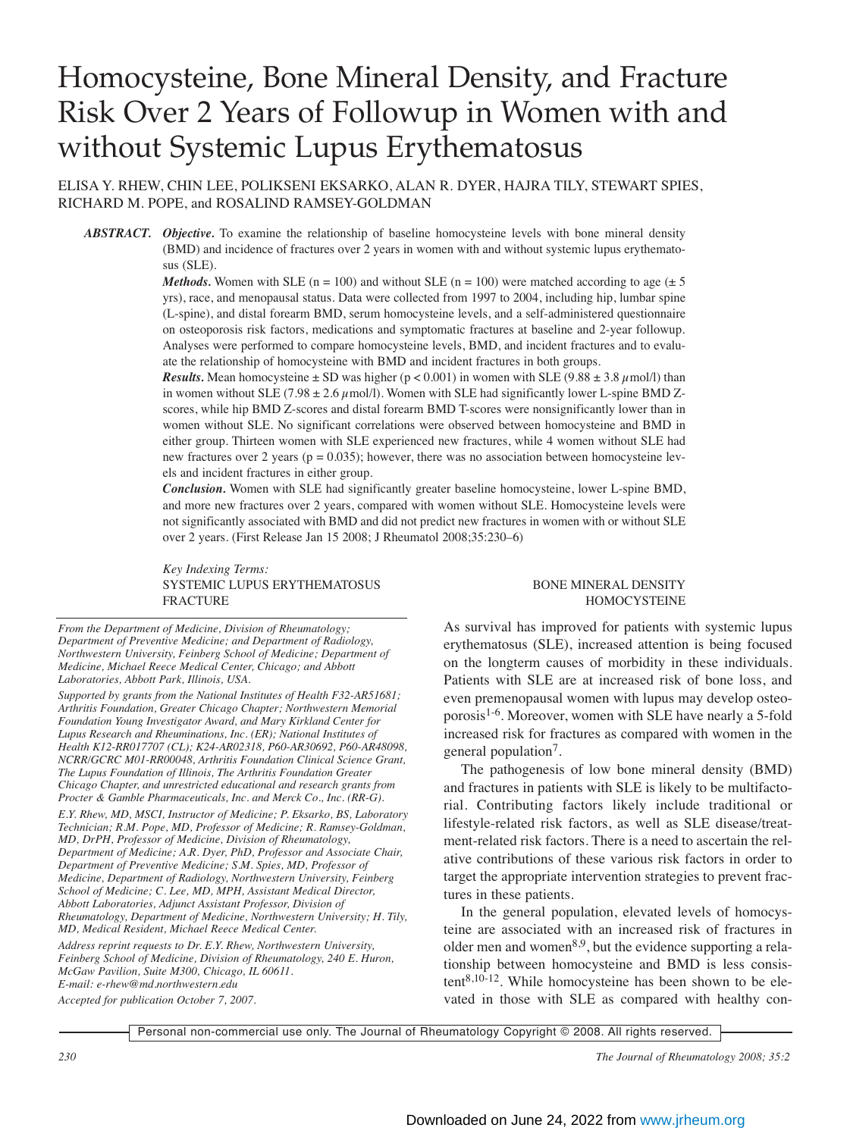# Homocysteine, Bone Mineral Density, and Fracture Risk Over 2 Years of Followup in Women with and without Systemic Lupus Erythematosus

ELISA Y. RHEW, CHIN LEE, POLIKSENI EKSARKO, ALAN R. DYER, HAJRA TILY, STEWART SPIES, RICHARD M. POPE, and ROSALIND RAMSEY-GOLDMAN

*ABSTRACT. Objective.* To examine the relationship of baseline homocysteine levels with bone mineral density (BMD) and incidence of fractures over 2 years in women with and without systemic lupus erythematosus (SLE).

> *Methods.* Women with SLE (n = 100) and without SLE (n = 100) were matched according to age ( $\pm$  5) yrs), race, and menopausal status. Data were collected from 1997 to 2004, including hip, lumbar spine (L-spine), and distal forearm BMD, serum homocysteine levels, and a self-administered questionnaire on osteoporosis risk factors, medications and symptomatic fractures at baseline and 2-year followup. Analyses were performed to compare homocysteine levels, BMD, and incident fractures and to evaluate the relationship of homocysteine with BMD and incident fractures in both groups.

> *Results.* Mean homocysteine  $\pm$  SD was higher ( $p < 0.001$ ) in women with SLE (9.88  $\pm$  3.8  $\mu$ mol/l) than in women without SLE (7.98  $\pm$  2.6  $\mu$  mol/l). Women with SLE had significantly lower L-spine BMD Zscores, while hip BMD Z-scores and distal forearm BMD T-scores were nonsignificantly lower than in women without SLE. No significant correlations were observed between homocysteine and BMD in either group. Thirteen women with SLE experienced new fractures, while 4 women without SLE had new fractures over 2 years ( $p = 0.035$ ); however, there was no association between homocysteine levels and incident fractures in either group.

> *Conclusion.* Women with SLE had significantly greater baseline homocysteine, lower L-spine BMD, and more new fractures over 2 years, compared with women without SLE. Homocysteine levels were not significantly associated with BMD and did not predict new fractures in women with or without SLE over 2 years. (First Release Jan 15 2008; J Rheumatol 2008;35:230–6)

> *Key Indexing Terms:* SYSTEMIC LUPUS ERYTHEMATOSUS BONE MINERAL DENSITY FRACTURE HOMOCYSTEINE

*From the Department of Medicine, Division of Rheumatology; Department of Preventive Medicine; and Department of Radiology, Northwestern University, Feinberg School of Medicine; Department of Medicine, Michael Reece Medical Center, Chicago; and Abbott Laboratories, Abbott Park, Illinois, USA.*

*Supported by grants from the National Institutes of Health F32-AR51681; Arthritis Foundation, Greater Chicago Chapter; Northwestern Memorial Foundation Young Investigator Award, and Mary Kirkland Center for Lupus Research and Rheuminations, Inc. (ER); National Institutes of Health K12-RR017707 (CL); K24-AR02318, P60-AR30692, P60-AR48098, NCRR/GCRC M01-RR00048, Arthritis Foundation Clinical Science Grant, The Lupus Foundation of Illinois, The Arthritis Foundation Greater Chicago Chapter, and unrestricted educational and research grants from Procter & Gamble Pharmaceuticals, Inc. and Merck Co., Inc. (RR-G).*

*E.Y. Rhew, MD, MSCI, Instructor of Medicine; P. Eksarko, BS, Laboratory Technician; R.M. Pope, MD, Professor of Medicine; R. Ramsey-Goldman, MD, DrPH, Professor of Medicine, Division of Rheumatology, Department of Medicine; A.R. Dyer, PhD, Professor and Associate Chair, Department of Preventive Medicine; S.M. Spies, MD, Professor of Medicine, Department of Radiology, Northwestern University, Feinberg School of Medicine; C. Lee, MD, MPH, Assistant Medical Director, Abbott Laboratories, Adjunct Assistant Professor, Division of Rheumatology, Department of Medicine, Northwestern University; H. Tily, MD, Medical Resident, Michael Reece Medical Center.*

*Address reprint requests to Dr. E.Y. Rhew, Northwestern University, Feinberg School of Medicine, Division of Rheumatology, 240 E. Huron, McGaw Pavilion, Suite M300, Chicago, IL 60611. E-mail: e-rhew@md.northwestern.edu*

*Accepted for publication October 7, 2007.*

As survival has improved for patients with systemic lupus erythematosus (SLE), increased attention is being focused on the longterm causes of morbidity in these individuals. Patients with SLE are at increased risk of bone loss, and even premenopausal women with lupus may develop osteoporosis<sup>1-6</sup>. Moreover, women with SLE have nearly a 5-fold increased risk for fractures as compared with women in the general population<sup>7</sup>.

The pathogenesis of low bone mineral density (BMD) and fractures in patients with SLE is likely to be multifactorial. Contributing factors likely include traditional or lifestyle-related risk factors, as well as SLE disease/treatment-related risk factors. There is a need to ascertain the relative contributions of these various risk factors in order to target the appropriate intervention strategies to prevent fractures in these patients.

In the general population, elevated levels of homocysteine are associated with an increased risk of fractures in older men and women $8.9$ , but the evidence supporting a relationship between homocysteine and BMD is less consis $tent^{8,10-12}$ . While homocysteine has been shown to be elevated in those with SLE as compared with healthy con-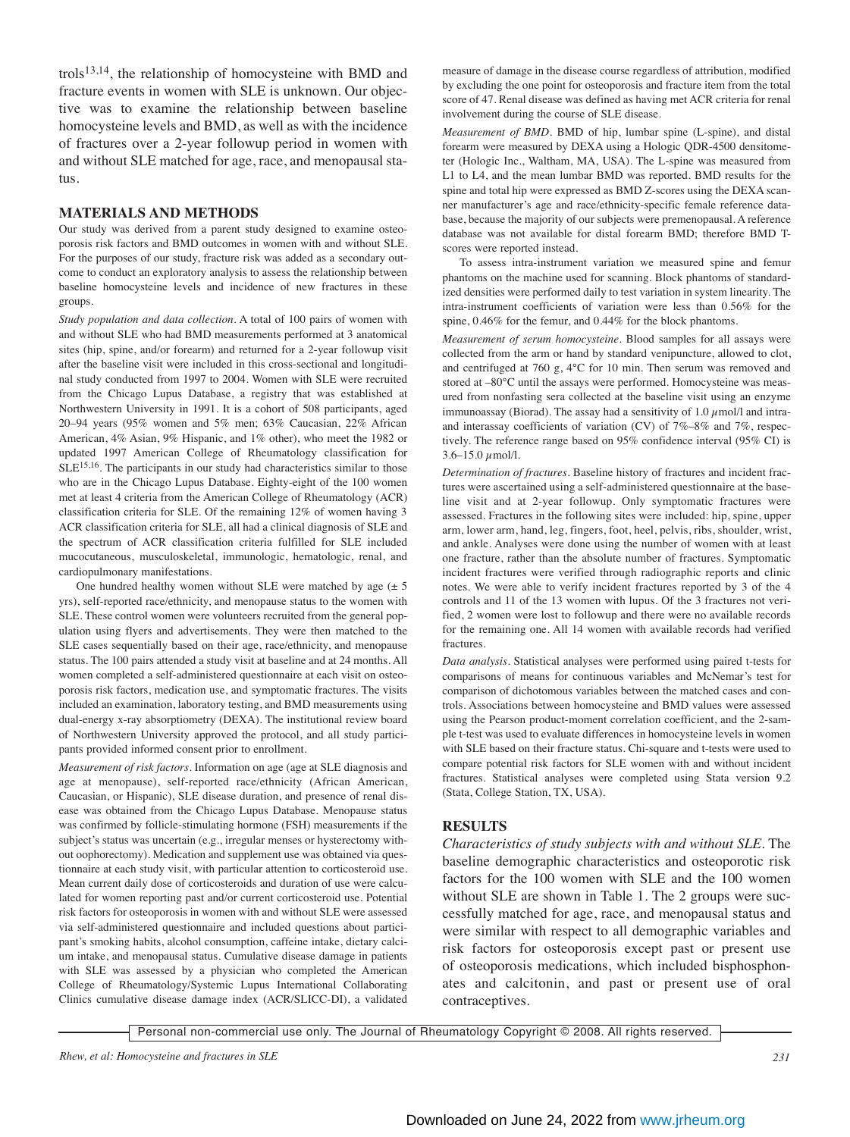trols<sup>13,14</sup>, the relationship of homocysteine with BMD and fracture events in women with SLE is unknown. Our objective was to examine the relationship between baseline homocysteine levels and BMD, as well as with the incidence of fractures over a 2-year followup period in women with and without SLE matched for age, race, and menopausal status.

#### **MATERIALS AND METHODS**

Our study was derived from a parent study designed to examine osteoporosis risk factors and BMD outcomes in women with and without SLE. For the purposes of our study, fracture risk was added as a secondary outcome to conduct an exploratory analysis to assess the relationship between baseline homocysteine levels and incidence of new fractures in these groups.

*Study population and data collection.* A total of 100 pairs of women with and without SLE who had BMD measurements performed at 3 anatomical sites (hip, spine, and/or forearm) and returned for a 2-year followup visit after the baseline visit were included in this cross-sectional and longitudinal study conducted from 1997 to 2004. Women with SLE were recruited from the Chicago Lupus Database, a registry that was established at Northwestern University in 1991. It is a cohort of 508 participants, aged 20–94 years (95% women and 5% men; 63% Caucasian, 22% African American, 4% Asian, 9% Hispanic, and 1% other), who meet the 1982 or updated 1997 American College of Rheumatology classification for SLE15,16. The participants in our study had characteristics similar to those who are in the Chicago Lupus Database. Eighty-eight of the 100 women met at least 4 criteria from the American College of Rheumatology (ACR) classification criteria for SLE. Of the remaining 12% of women having 3 ACR classification criteria for SLE, all had a clinical diagnosis of SLE and the spectrum of ACR classification criteria fulfilled for SLE included mucocutaneous, musculoskeletal, immunologic, hematologic, renal, and cardiopulmonary manifestations.

One hundred healthy women without SLE were matched by age  $(\pm 5)$ yrs), self-reported race/ethnicity, and menopause status to the women with SLE. These control women were volunteers recruited from the general population using flyers and advertisements. They were then matched to the SLE cases sequentially based on their age, race/ethnicity, and menopause status. The 100 pairs attended a study visit at baseline and at 24 months. All women completed a self-administered questionnaire at each visit on osteoporosis risk factors, medication use, and symptomatic fractures. The visits included an examination, laboratory testing, and BMD measurements using dual-energy x-ray absorptiometry (DEXA). The institutional review board of Northwestern University approved the protocol, and all study participants provided informed consent prior to enrollment.

*Measurement of risk factors.* Information on age (age at SLE diagnosis and age at menopause), self-reported race/ethnicity (African American, Caucasian, or Hispanic), SLE disease duration, and presence of renal disease was obtained from the Chicago Lupus Database. Menopause status was confirmed by follicle-stimulating hormone (FSH) measurements if the subject's status was uncertain (e.g., irregular menses or hysterectomy without oophorectomy). Medication and supplement use was obtained via questionnaire at each study visit, with particular attention to corticosteroid use. Mean current daily dose of corticosteroids and duration of use were calculated for women reporting past and/or current corticosteroid use. Potential risk factors for osteoporosis in women with and without SLE were assessed via self-administered questionnaire and included questions about participant's smoking habits, alcohol consumption, caffeine intake, dietary calcium intake, and menopausal status. Cumulative disease damage in patients with SLE was assessed by a physician who completed the American College of Rheumatology/Systemic Lupus International Collaborating Clinics cumulative disease damage index (ACR/SLICC-DI), a validated

measure of damage in the disease course regardless of attribution, modified by excluding the one point for osteoporosis and fracture item from the total score of 47. Renal disease was defined as having met ACR criteria for renal involvement during the course of SLE disease.

*Measurement of BMD.* BMD of hip, lumbar spine (L-spine), and distal forearm were measured by DEXA using a Hologic QDR-4500 densitometer (Hologic Inc., Waltham, MA, USA). The L-spine was measured from L1 to L4, and the mean lumbar BMD was reported. BMD results for the spine and total hip were expressed as BMD Z-scores using the DEXA scanner manufacturer's age and race/ethnicity-specific female reference database, because the majority of our subjects were premenopausal. A reference database was not available for distal forearm BMD; therefore BMD Tscores were reported instead.

To assess intra-instrument variation we measured spine and femur phantoms on the machine used for scanning. Block phantoms of standardized densities were performed daily to test variation in system linearity. The intra-instrument coefficients of variation were less than 0.56% for the spine, 0.46% for the femur, and 0.44% for the block phantoms.

*Measurement of serum homocysteine.* Blood samples for all assays were collected from the arm or hand by standard venipuncture, allowed to clot, and centrifuged at 760 g, 4°C for 10 min. Then serum was removed and stored at –80°C until the assays were performed. Homocysteine was measured from nonfasting sera collected at the baseline visit using an enzyme immunoassay (Biorad). The assay had a sensitivity of 1.0  $\mu$ mol/l and intraand interassay coefficients of variation (CV) of 7%–8% and 7%, respectively. The reference range based on 95% confidence interval (95% CI) is  $3.6 - 15.0 \mu$  mol/l.

*Determination of fractures.* Baseline history of fractures and incident fractures were ascertained using a self-administered questionnaire at the baseline visit and at 2-year followup. Only symptomatic fractures were assessed. Fractures in the following sites were included: hip, spine, upper arm, lower arm, hand, leg, fingers, foot, heel, pelvis, ribs, shoulder, wrist, and ankle. Analyses were done using the number of women with at least one fracture, rather than the absolute number of fractures. Symptomatic incident fractures were verified through radiographic reports and clinic notes. We were able to verify incident fractures reported by 3 of the 4 controls and 11 of the 13 women with lupus. Of the 3 fractures not verified, 2 women were lost to followup and there were no available records for the remaining one. All 14 women with available records had verified fractures.

*Data analysis.* Statistical analyses were performed using paired t-tests for comparisons of means for continuous variables and McNemar's test for comparison of dichotomous variables between the matched cases and controls. Associations between homocysteine and BMD values were assessed using the Pearson product-moment correlation coefficient, and the 2-sample t-test was used to evaluate differences in homocysteine levels in women with SLE based on their fracture status. Chi-square and t-tests were used to compare potential risk factors for SLE women with and without incident fractures. Statistical analyses were completed using Stata version 9.2 (Stata, College Station, TX, USA).

## **RESULTS**

*Characteristics of study subjects with and without SLE.* The baseline demographic characteristics and osteoporotic risk factors for the 100 women with SLE and the 100 women without SLE are shown in Table 1. The 2 groups were successfully matched for age, race, and menopausal status and were similar with respect to all demographic variables and risk factors for osteoporosis except past or present use of osteoporosis medications, which included bisphosphonates and calcitonin, and past or present use of oral contraceptives.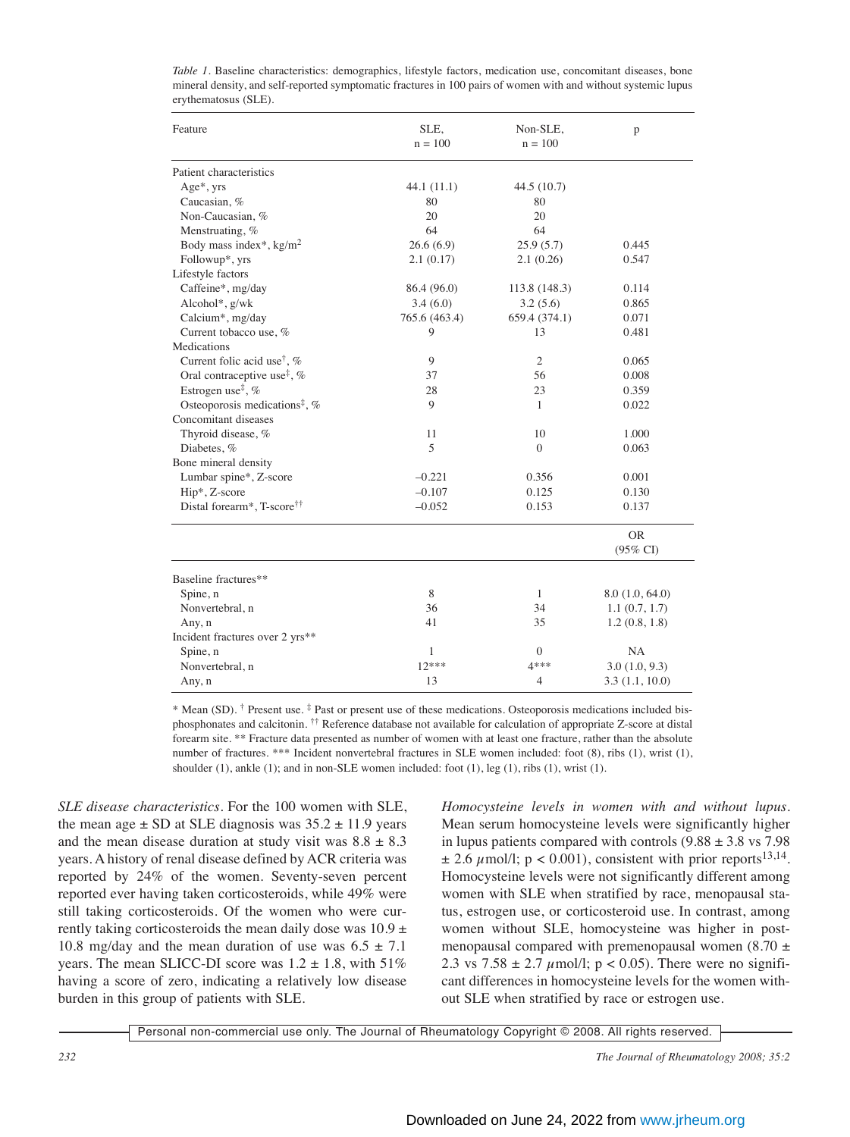| Feature                                                     | SLE.<br>$n = 100$ | Non-SLE,<br>$n = 100$ | p                                |
|-------------------------------------------------------------|-------------------|-----------------------|----------------------------------|
| Patient characteristics                                     |                   |                       |                                  |
| Age*, yrs                                                   | 44.1(11.1)        | 44.5(10.7)            |                                  |
| Caucasian, %                                                | 80                | 80                    |                                  |
| Non-Caucasian, %                                            | 20                | 20                    |                                  |
| Menstruating, %                                             | 64                | 64                    |                                  |
| Body mass index*, $kg/m2$                                   | 26.6(6.9)         | 25.9(5.7)             | 0.445                            |
| Followup*, yrs                                              | 2.1(0.17)         | 2.1(0.26)             | 0.547                            |
| Lifestyle factors                                           |                   |                       |                                  |
| Caffeine*, mg/day                                           | 86.4 (96.0)       | 113.8 (148.3)         | 0.114                            |
| Alcohol*, g/wk                                              | 3.4(6.0)          | 3.2(5.6)              | 0.865                            |
| Calcium*, mg/day                                            | 765.6 (463.4)     | 659.4 (374.1)         | 0.071                            |
| Current tobacco use, %                                      | 9                 | 13                    | 0.481                            |
| Medications                                                 |                   |                       |                                  |
| Current folic acid use <sup>†</sup> , %                     | 9                 | 2                     | 0.065                            |
| Oral contraceptive use <sup><math>\ddagger</math></sup> , % | 37                | 56                    | 0.008                            |
| Estrogen use <sup><math>\ddagger</math></sup> , %           | 28                | 23                    | 0.359                            |
| Osteoporosis medications <sup>‡</sup> , %                   | 9                 | $\mathbf{1}$          | 0.022                            |
| Concomitant diseases                                        |                   |                       |                                  |
| Thyroid disease, %                                          | 11                | 10                    | 1.000                            |
| Diabetes, %                                                 | 5                 | $\Omega$              | 0.063                            |
| Bone mineral density                                        |                   |                       |                                  |
| Lumbar spine*, Z-score                                      | $-0.221$          | 0.356                 | 0.001                            |
| Hip*, Z-score                                               | $-0.107$          | 0.125                 | 0.130                            |
| Distal forearm*, T-score <sup>††</sup>                      | $-0.052$          | 0.153                 | 0.137                            |
|                                                             |                   |                       | <b>OR</b><br>$(95\% \text{ CI})$ |
| Baseline fractures**                                        |                   |                       |                                  |
| Spine, n                                                    | 8                 | $\mathbf{1}$          | 8.0(1.0, 64.0)                   |
| Nonvertebral, n                                             | 36                | 34                    | 1.1(0.7, 1.7)                    |
| Any, n                                                      | 41<br>35          |                       | 1.2(0.8, 1.8)                    |
| Incident fractures over 2 yrs**                             |                   |                       |                                  |
| Spine, n                                                    | $\mathbf{1}$      | $\Omega$              | NA                               |
| Nonvertebral, n                                             | $12***$           | 4***                  | 3.0(1.0, 9.3)                    |
| Any, n                                                      | 13                | $\overline{4}$        | 3.3(1.1, 10.0)                   |

*Table 1.* Baseline characteristics: demographics, lifestyle factors, medication use, concomitant diseases, bone mineral density, and self-reported symptomatic fractures in 100 pairs of women with and without systemic lupus erythematosus (SLE).

\* Mean (SD). † Present use. ‡ Past or present use of these medications. Osteoporosis medications included bisphosphonates and calcitonin.  $\dagger \dagger$  Reference database not available for calculation of appropriate Z-score at distal forearm site. \*\* Fracture data presented as number of women with at least one fracture, rather than the absolute number of fractures. \*\*\* Incident nonvertebral fractures in SLE women included: foot (8), ribs (1), wrist (1), shoulder (1), ankle (1); and in non-SLE women included: foot (1), leg (1), ribs (1), wrist (1).

*SLE disease characteristics.* For the 100 women with SLE, the mean age  $\pm$  SD at SLE diagnosis was  $35.2 \pm 11.9$  years and the mean disease duration at study visit was  $8.8 \pm 8.3$ years. A history of renal disease defined by ACR criteria was reported by 24% of the women. Seventy-seven percent reported ever having taken corticosteroids, while 49% were still taking corticosteroids. Of the women who were currently taking corticosteroids the mean daily dose was  $10.9 \pm$ 10.8 mg/day and the mean duration of use was  $6.5 \pm 7.1$ years. The mean SLICC-DI score was  $1.2 \pm 1.8$ , with  $51\%$ having a score of zero, indicating a relatively low disease burden in this group of patients with SLE.

*Homocysteine levels in women with and without lupus.* Mean serum homocysteine levels were significantly higher in lupus patients compared with controls  $(9.88 \pm 3.8 \text{ vs } 7.98)$  $\pm$  2.6  $\mu$ mol/l; p < 0.001), consistent with prior reports<sup>13,14</sup>. Homocysteine levels were not significantly different among women with SLE when stratified by race, menopausal status, estrogen use, or corticosteroid use. In contrast, among women without SLE, homocysteine was higher in postmenopausal compared with premenopausal women  $(8.70 \pm$ 2.3 vs  $7.58 \pm 2.7 \mu$  mol/l; p < 0.05). There were no significant differences in homocysteine levels for the women without SLE when stratified by race or estrogen use.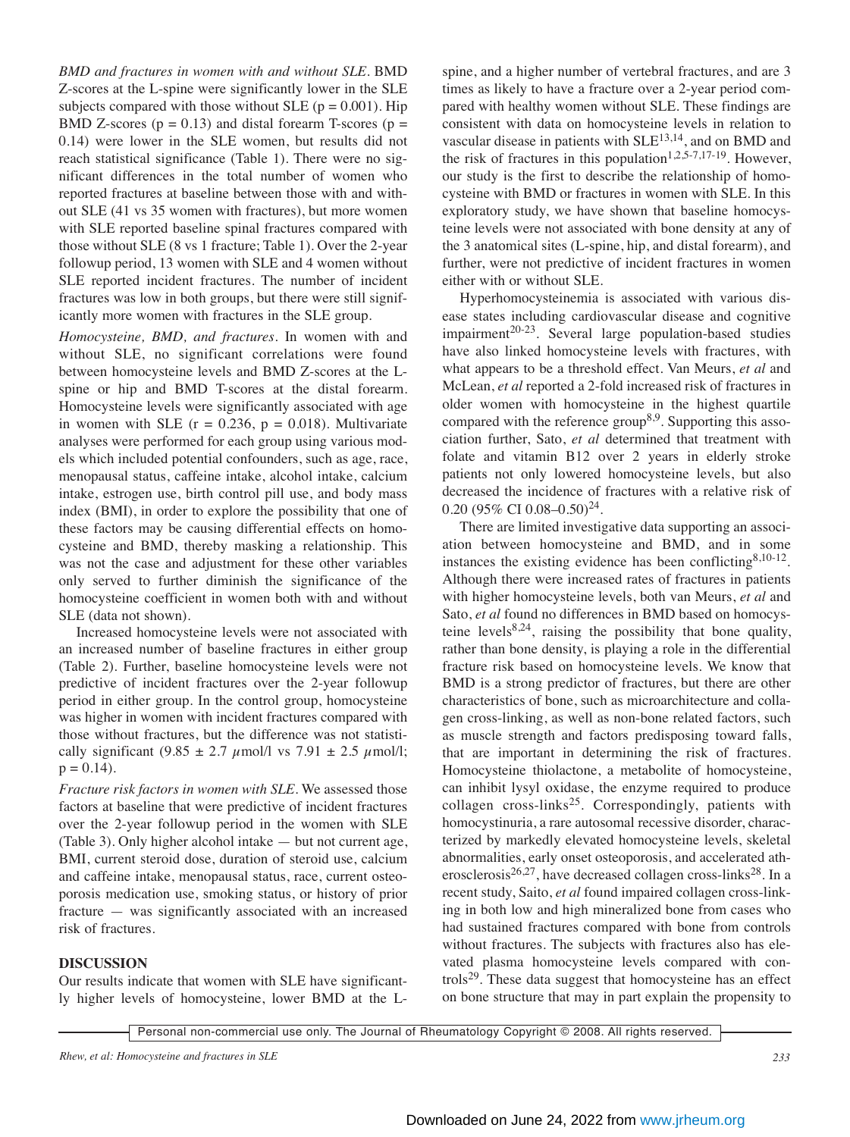*BMD and fractures in women with and without SLE.* BMD Z-scores at the L-spine were significantly lower in the SLE subjects compared with those without SLE ( $p = 0.001$ ). Hip BMD Z-scores ( $p = 0.13$ ) and distal forearm T-scores ( $p =$ 0.14) were lower in the SLE women, but results did not reach statistical significance (Table 1). There were no significant differences in the total number of women who reported fractures at baseline between those with and without SLE (41 vs 35 women with fractures), but more women with SLE reported baseline spinal fractures compared with those without SLE (8 vs 1 fracture; Table 1). Over the 2-year followup period, 13 women with SLE and 4 women without SLE reported incident fractures. The number of incident fractures was low in both groups, but there were still significantly more women with fractures in the SLE group.

*Homocysteine, BMD, and fractures.* In women with and without SLE, no significant correlations were found between homocysteine levels and BMD Z-scores at the Lspine or hip and BMD T-scores at the distal forearm. Homocysteine levels were significantly associated with age in women with SLE  $(r = 0.236, p = 0.018)$ . Multivariate analyses were performed for each group using various models which included potential confounders, such as age, race, menopausal status, caffeine intake, alcohol intake, calcium intake, estrogen use, birth control pill use, and body mass index (BMI), in order to explore the possibility that one of these factors may be causing differential effects on homocysteine and BMD, thereby masking a relationship. This was not the case and adjustment for these other variables only served to further diminish the significance of the homocysteine coefficient in women both with and without SLE (data not shown).

Increased homocysteine levels were not associated with an increased number of baseline fractures in either group (Table 2). Further, baseline homocysteine levels were not predictive of incident fractures over the 2-year followup period in either group. In the control group, homocysteine was higher in women with incident fractures compared with those without fractures, but the difference was not statistically significant (9.85  $\pm$  2.7  $\mu$ mol/l vs 7.91  $\pm$  2.5  $\mu$ mol/l;  $p = 0.14$ .

*Fracture risk factors in women with SLE*. We assessed those factors at baseline that were predictive of incident fractures over the 2-year followup period in the women with SLE (Table 3). Only higher alcohol intake — but not current age, BMI, current steroid dose, duration of steroid use, calcium and caffeine intake, menopausal status, race, current osteoporosis medication use, smoking status, or history of prior fracture — was significantly associated with an increased risk of fractures.

## **DISCUSSION**

Our results indicate that women with SLE have significantly higher levels of homocysteine, lower BMD at the L- spine, and a higher number of vertebral fractures, and are 3 times as likely to have a fracture over a 2-year period compared with healthy women without SLE. These findings are consistent with data on homocysteine levels in relation to vascular disease in patients with SLE13,14, and on BMD and the risk of fractures in this population<sup>1,2,5-7,17-19</sup>. However, our study is the first to describe the relationship of homocysteine with BMD or fractures in women with SLE. In this exploratory study, we have shown that baseline homocysteine levels were not associated with bone density at any of the 3 anatomical sites (L-spine, hip, and distal forearm), and further, were not predictive of incident fractures in women either with or without SLE.

Hyperhomocysteinemia is associated with various disease states including cardiovascular disease and cognitive  $impairment^{20-23}$ . Several large population-based studies have also linked homocysteine levels with fractures, with what appears to be a threshold effect. Van Meurs, *et al* and McLean, *et al* reported a 2-fold increased risk of fractures in older women with homocysteine in the highest quartile compared with the reference group<sup>8,9</sup>. Supporting this association further, Sato, *et al* determined that treatment with folate and vitamin B12 over 2 years in elderly stroke patients not only lowered homocysteine levels, but also decreased the incidence of fractures with a relative risk of 0.20 (95% CI 0.08-0.50)<sup>24</sup>.

There are limited investigative data supporting an association between homocysteine and BMD, and in some instances the existing evidence has been conflicting  $8,10-12$ . Although there were increased rates of fractures in patients with higher homocysteine levels, both van Meurs, *et al* and Sato, *et al* found no differences in BMD based on homocysteine levels<sup>8,24</sup>, raising the possibility that bone quality, rather than bone density, is playing a role in the differential fracture risk based on homocysteine levels. We know that BMD is a strong predictor of fractures, but there are other characteristics of bone, such as microarchitecture and collagen cross-linking, as well as non-bone related factors, such as muscle strength and factors predisposing toward falls, that are important in determining the risk of fractures. Homocysteine thiolactone, a metabolite of homocysteine, can inhibit lysyl oxidase, the enzyme required to produce collagen  $\csc 25$ . Correspondingly, patients with homocystinuria, a rare autosomal recessive disorder, characterized by markedly elevated homocysteine levels, skeletal abnormalities, early onset osteoporosis, and accelerated atherosclerosis<sup>26,27</sup>, have decreased collagen cross-links<sup>28</sup>. In a recent study, Saito, *et al* found impaired collagen cross-linking in both low and high mineralized bone from cases who had sustained fractures compared with bone from controls without fractures. The subjects with fractures also has elevated plasma homocysteine levels compared with controls<sup>29</sup>. These data suggest that homocysteine has an effect on bone structure that may in part explain the propensity to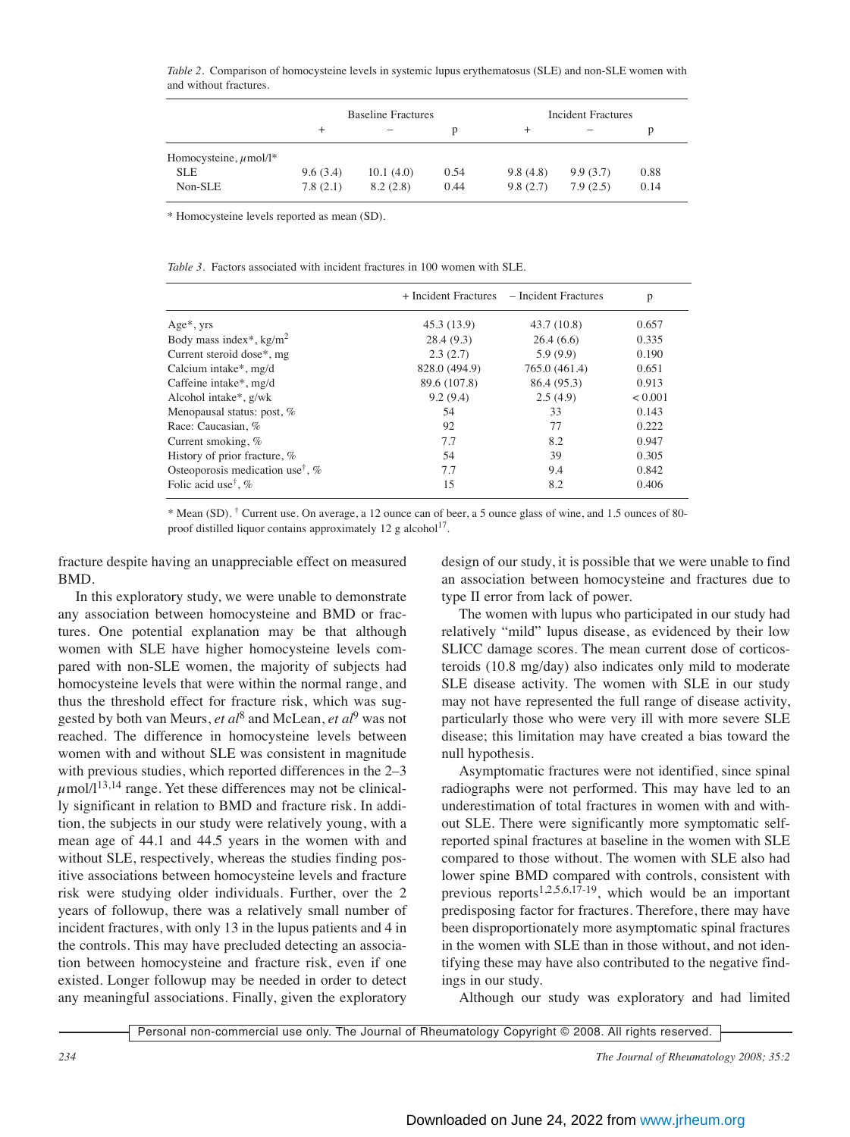*Table 2.* Comparison of homocysteine levels in systemic lupus erythematosus (SLE) and non-SLE women with and without fractures.

|                            | <b>Baseline Fractures</b> |           |      | Incident Fractures |          |      |  |
|----------------------------|---------------------------|-----------|------|--------------------|----------|------|--|
|                            | $^+$                      |           | D    | +                  |          | р    |  |
| Homocysteine, $\mu$ mol/l* |                           |           |      |                    |          |      |  |
| <b>SLE</b>                 | 9.6(3.4)                  | 10.1(4.0) | 0.54 | 9.8(4.8)           | 9.9(3.7) | 0.88 |  |
| Non-SLE                    | 7.8(2.1)                  | 8.2(2.8)  | 0.44 | 9.8(2.7)           | 7.9(2.5) | 0.14 |  |

\* Homocysteine levels reported as mean (SD).

|  |  | <i>Table 3.</i> Factors associated with incident fractures in 100 women with SLE. |  |  |  |  |  |  |  |  |
|--|--|-----------------------------------------------------------------------------------|--|--|--|--|--|--|--|--|
|--|--|-----------------------------------------------------------------------------------|--|--|--|--|--|--|--|--|

|                                                |               | + Incident Fractures – Incident Fractures | p            |
|------------------------------------------------|---------------|-------------------------------------------|--------------|
| $Age*, yrs$                                    | 45.3 (13.9)   | 43.7(10.8)                                | 0.657        |
| Body mass index*, $kg/m2$                      | 28.4(9.3)     | 26.4(6.6)                                 | 0.335        |
| Current steroid dose*, mg                      | 2.3(2.7)      | 5.9(9.9)                                  | 0.190        |
| Calcium intake*, mg/d                          | 828.0 (494.9) | 765.0 (461.4)                             | 0.651        |
| Caffeine intake*, mg/d                         | 89.6 (107.8)  | 86.4 (95.3)                               | 0.913        |
| Alcohol intake*, g/wk                          | 9.2(9.4)      | 2.5(4.9)                                  | ${}_{0.001}$ |
| Menopausal status: post, %                     | 54            | 33                                        | 0.143        |
| Race: Caucasian, %                             | 92            | 77                                        | 0.222        |
| Current smoking, %                             | 7.7           | 8.2                                       | 0.947        |
| History of prior fracture, %                   | 54            | 39                                        | 0.305        |
| Osteoporosis medication use <sup>†</sup> , $%$ | 7.7           | 9.4                                       | 0.842        |
| Folic acid use <sup>†</sup> , %                | 15            | 8.2                                       | 0.406        |

\* Mean (SD). † Current use. On average, a 12 ounce can of beer, a 5 ounce glass of wine, and 1.5 ounces of 80 proof distilled liquor contains approximately 12 g alcohol<sup>17</sup>.

fracture despite having an unappreciable effect on measured BMD.

In this exploratory study, we were unable to demonstrate any association between homocysteine and BMD or fractures. One potential explanation may be that although women with SLE have higher homocysteine levels compared with non-SLE women, the majority of subjects had homocysteine levels that were within the normal range, and thus the threshold effect for fracture risk, which was suggested by both van Meurs, *et al*<sup>8</sup> and McLean, *et al*<sup>9</sup> was not reached. The difference in homocysteine levels between women with and without SLE was consistent in magnitude with previous studies, which reported differences in the 2–3  $\mu$ mol/l<sup>13,14</sup> range. Yet these differences may not be clinically significant in relation to BMD and fracture risk. In addition, the subjects in our study were relatively young, with a mean age of 44.1 and 44.5 years in the women with and without SLE, respectively, whereas the studies finding positive associations between homocysteine levels and fracture risk were studying older individuals. Further, over the 2 years of followup, there was a relatively small number of incident fractures, with only 13 in the lupus patients and 4 in the controls. This may have precluded detecting an association between homocysteine and fracture risk, even if one existed. Longer followup may be needed in order to detect any meaningful associations. Finally, given the exploratory

design of our study, it is possible that we were unable to find an association between homocysteine and fractures due to type II error from lack of power.

The women with lupus who participated in our study had relatively "mild" lupus disease, as evidenced by their low SLICC damage scores. The mean current dose of corticosteroids (10.8 mg/day) also indicates only mild to moderate SLE disease activity. The women with SLE in our study may not have represented the full range of disease activity, particularly those who were very ill with more severe SLE disease; this limitation may have created a bias toward the null hypothesis.

Asymptomatic fractures were not identified, since spinal radiographs were not performed. This may have led to an underestimation of total fractures in women with and without SLE. There were significantly more symptomatic selfreported spinal fractures at baseline in the women with SLE compared to those without. The women with SLE also had lower spine BMD compared with controls, consistent with previous reports<sup>1,2,5,6,17-19</sup>, which would be an important predisposing factor for fractures. Therefore, there may have been disproportionately more asymptomatic spinal fractures in the women with SLE than in those without, and not identifying these may have also contributed to the negative findings in our study.

Although our study was exploratory and had limited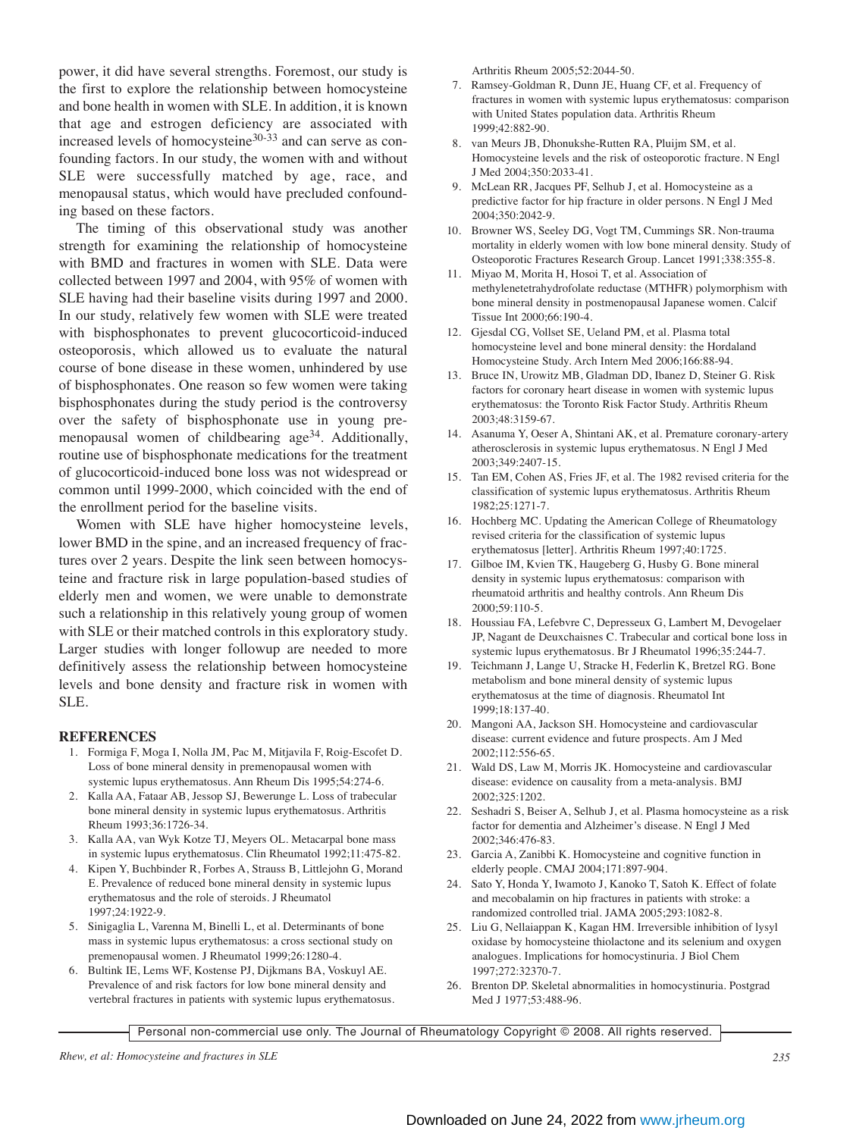power, it did have several strengths. Foremost, our study is the first to explore the relationship between homocysteine and bone health in women with SLE. In addition, it is known that age and estrogen deficiency are associated with increased levels of homocysteine<sup>30-33</sup> and can serve as confounding factors. In our study, the women with and without SLE were successfully matched by age, race, and menopausal status, which would have precluded confounding based on these factors.

The timing of this observational study was another strength for examining the relationship of homocysteine with BMD and fractures in women with SLE. Data were collected between 1997 and 2004, with 95% of women with SLE having had their baseline visits during 1997 and 2000. In our study, relatively few women with SLE were treated with bisphosphonates to prevent glucocorticoid-induced osteoporosis, which allowed us to evaluate the natural course of bone disease in these women, unhindered by use of bisphosphonates. One reason so few women were taking bisphosphonates during the study period is the controversy over the safety of bisphosphonate use in young premenopausal women of childbearing age<sup>34</sup>. Additionally, routine use of bisphosphonate medications for the treatment of glucocorticoid-induced bone loss was not widespread or common until 1999-2000, which coincided with the end of the enrollment period for the baseline visits.

Women with SLE have higher homocysteine levels, lower BMD in the spine, and an increased frequency of fractures over 2 years. Despite the link seen between homocysteine and fracture risk in large population-based studies of elderly men and women, we were unable to demonstrate such a relationship in this relatively young group of women with SLE or their matched controls in this exploratory study. Larger studies with longer followup are needed to more definitively assess the relationship between homocysteine levels and bone density and fracture risk in women with SLE.

#### **REFERENCES**

- 1. Formiga F, Moga I, Nolla JM, Pac M, Mitjavila F, Roig-Escofet D. Loss of bone mineral density in premenopausal women with systemic lupus erythematosus. Ann Rheum Dis 1995;54:274-6.
- 2. Kalla AA, Fataar AB, Jessop SJ, Bewerunge L. Loss of trabecular bone mineral density in systemic lupus erythematosus. Arthritis Rheum 1993;36:1726-34.
- 3. Kalla AA, van Wyk Kotze TJ, Meyers OL. Metacarpal bone mass in systemic lupus erythematosus. Clin Rheumatol 1992;11:475-82.
- 4. Kipen Y, Buchbinder R, Forbes A, Strauss B, Littlejohn G, Morand E. Prevalence of reduced bone mineral density in systemic lupus erythematosus and the role of steroids. J Rheumatol 1997;24:1922-9.
- 5. Sinigaglia L, Varenna M, Binelli L, et al. Determinants of bone mass in systemic lupus erythematosus: a cross sectional study on premenopausal women. J Rheumatol 1999;26:1280-4.
- 6. Bultink IE, Lems WF, Kostense PJ, Dijkmans BA, Voskuyl AE. Prevalence of and risk factors for low bone mineral density and vertebral fractures in patients with systemic lupus erythematosus.

Arthritis Rheum 2005;52:2044-50.

- 7. Ramsey-Goldman R, Dunn JE, Huang CF, et al. Frequency of fractures in women with systemic lupus erythematosus: comparison with United States population data. Arthritis Rheum 1999;42:882-90.
- 8. van Meurs JB, Dhonukshe-Rutten RA, Pluijm SM, et al. Homocysteine levels and the risk of osteoporotic fracture. N Engl J Med 2004;350:2033-41.
- 9. McLean RR, Jacques PF, Selhub J, et al. Homocysteine as a predictive factor for hip fracture in older persons. N Engl J Med 2004;350:2042-9.
- 10. Browner WS, Seeley DG, Vogt TM, Cummings SR. Non-trauma mortality in elderly women with low bone mineral density. Study of Osteoporotic Fractures Research Group. Lancet 1991;338:355-8.
- 11. Miyao M, Morita H, Hosoi T, et al. Association of methylenetetrahydrofolate reductase (MTHFR) polymorphism with bone mineral density in postmenopausal Japanese women. Calcif Tissue Int 2000;66:190-4.
- 12. Gjesdal CG, Vollset SE, Ueland PM, et al. Plasma total homocysteine level and bone mineral density: the Hordaland Homocysteine Study. Arch Intern Med 2006;166:88-94.
- 13. Bruce IN, Urowitz MB, Gladman DD, Ibanez D, Steiner G. Risk factors for coronary heart disease in women with systemic lupus erythematosus: the Toronto Risk Factor Study. Arthritis Rheum 2003;48:3159-67.
- 14. Asanuma Y, Oeser A, Shintani AK, et al. Premature coronary-artery atherosclerosis in systemic lupus erythematosus. N Engl J Med 2003;349:2407-15.
- 15. Tan EM, Cohen AS, Fries JF, et al. The 1982 revised criteria for the classification of systemic lupus erythematosus. Arthritis Rheum 1982;25:1271-7.
- 16. Hochberg MC. Updating the American College of Rheumatology revised criteria for the classification of systemic lupus erythematosus [letter]. Arthritis Rheum 1997;40:1725.
- 17. Gilboe IM, Kvien TK, Haugeberg G, Husby G. Bone mineral density in systemic lupus erythematosus: comparison with rheumatoid arthritis and healthy controls. Ann Rheum Dis 2000;59:110-5.
- 18. Houssiau FA, Lefebvre C, Depresseux G, Lambert M, Devogelaer JP, Nagant de Deuxchaisnes C. Trabecular and cortical bone loss in systemic lupus erythematosus. Br J Rheumatol 1996;35:244-7.
- 19. Teichmann J, Lange U, Stracke H, Federlin K, Bretzel RG. Bone metabolism and bone mineral density of systemic lupus erythematosus at the time of diagnosis. Rheumatol Int 1999;18:137-40.
- 20. Mangoni AA, Jackson SH. Homocysteine and cardiovascular disease: current evidence and future prospects. Am J Med 2002;112:556-65.
- 21. Wald DS, Law M, Morris JK. Homocysteine and cardiovascular disease: evidence on causality from a meta-analysis. BMJ 2002;325:1202.
- 22. Seshadri S, Beiser A, Selhub J, et al. Plasma homocysteine as a risk factor for dementia and Alzheimer's disease. N Engl J Med 2002;346:476-83.
- 23. Garcia A, Zanibbi K. Homocysteine and cognitive function in elderly people. CMAJ 2004;171:897-904.
- 24. Sato Y, Honda Y, Iwamoto J, Kanoko T, Satoh K. Effect of folate and mecobalamin on hip fractures in patients with stroke: a randomized controlled trial. JAMA 2005;293:1082-8.
- 25. Liu G, Nellaiappan K, Kagan HM. Irreversible inhibition of lysyl oxidase by homocysteine thiolactone and its selenium and oxygen analogues. Implications for homocystinuria. J Biol Chem 1997;272:32370-7.
- 26. Brenton DP. Skeletal abnormalities in homocystinuria. Postgrad Med J 1977;53:488-96.

Personal non-commercial use only. The Journal of Rheumatology Copyright © 2008. All rights reserved.

*Rhew, et al: Homocysteine and fractures in SLE 235*